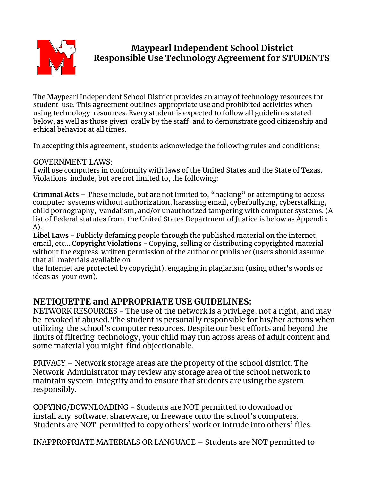

# **Maypearl Independent School District Responsible Use Technology Agreement for STUDENTS**

The Maypearl Independent School District provides an array of technology resources for student use. This agreement outlines appropriate use and prohibited activities when using technology resources. Every student is expected to follow all guidelines stated below, as well as those given orally by the staff, and to demonstrate good citizenship and ethical behavior at all times.

In accepting this agreement, students acknowledge the following rules and conditions:

GOVERNMENT LAWS:

I will use computers in conformity with laws of the United States and the State of Texas. Violations include, but are not limited to, the following:

**Criminal Acts** – These include, but are not limited to, "hacking" or attempting to access computer systems without authorization, harassing email, cyberbullying, cyberstalking, child pornography, vandalism, and/or unauthorized tampering with computer systems. (A list of Federal statutes from the United States Department of Justice is below as Appendix A).

**Libel Laws** - Publicly defaming people through the published material on the internet, email, etc… **Copyright Violations** - Copying, selling or distributing copyrighted material without the express written permission of the author or publisher (users should assume that all materials available on

the Internet are protected by copyright), engaging in plagiarism (using other's words or ideas as your own).

## **NETIQUETTE and APPROPRIATE USE GUIDELINES:**

NETWORK RESOURCES - The use of the network is a privilege, not a right, and may be revoked if abused. The student is personally responsible for his/her actions when utilizing the school's computer resources. Despite our best efforts and beyond the limits of filtering technology, your child may run across areas of adult content and some material you might find objectionable.

PRIVACY – Network storage areas are the property of the school district. The Network Administrator may review any storage area of the school network to maintain system integrity and to ensure that students are using the system responsibly.

COPYING/DOWNLOADING - Students are NOT permitted to download or install any software, shareware, or freeware onto the school's computers. Students are NOT permitted to copy others' work or intrude into others' files.

INAPPROPRIATE MATERIALS OR LANGUAGE – Students are NOT permitted to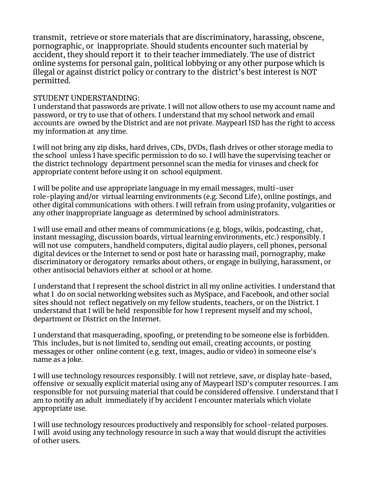transmit, retrieve or store materials that are discriminatory, harassing, obscene, pornographic, or inappropriate. Should students encounter such material by accident, they should report it to their teacher immediately. The use of district online systems for personal gain, political lobbying or any other purpose which is illegal or against district policy or contrary to the district's best interest is NOT permitted.

## STUDENT UNDERSTANDING:

I understand that passwords are private. I will not allow others to use my account name and password, or try to use that of others. I understand that my school network and email accounts are owned by the District and are not private. Maypearl ISD has the right to access my information at any time.

I will not bring any zip disks, hard drives, CDs, DVDs, flash drives or other storage media to the school unless I have specific permission to do so. I will have the supervising teacher or the district technology department personnel scan the media for viruses and check for appropriate content before using it on school equipment.

I will be polite and use appropriate language in my email messages, multi-user role-playing and/or virtual learning environments (e.g. Second Life), online postings, and other digital communications with others. I will refrain from using profanity, vulgarities or any other inappropriate language as determined by school administrators.

I will use email and other means of communications (e.g. blogs, wikis, podcasting, chat, instant messaging, discussion boards, virtual learning environments, etc.) responsibly. I will not use computers, handheld computers, digital audio players, cell phones, personal digital devices or the Internet to send or post hate or harassing mail, pornography, make discriminatory or derogatory remarks about others, or engage in bullying, harassment, or other antisocial behaviors either at school or at home.

I understand that I represent the school district in all my online activities. I understand that what I do on social networking websites such as MySpace, and Facebook, and other social sites should not reflect negatively on my fellow students, teachers, or on the District. I understand that I will be held responsible for how I represent myself and my school, department or District on the Internet.

I understand that masquerading, spoofing, or pretending to be someone else is forbidden. This includes, but is not limited to, sending out email, creating accounts, or posting messages or other online content (e.g. text, images, audio or video) in someone else's name as a joke.

I will use technology resources responsibly. I will not retrieve, save, or display hate-based, offensive or sexually explicit material using any of Maypearl ISD's computer resources. I am responsible for not pursuing material that could be considered offensive. I understand that I am to notify an adult immediately if by accident I encounter materials which violate appropriate use.

I will use technology resources productively and responsibly for school-related purposes. I will avoid using any technology resource in such a way that would disrupt the activities of other users.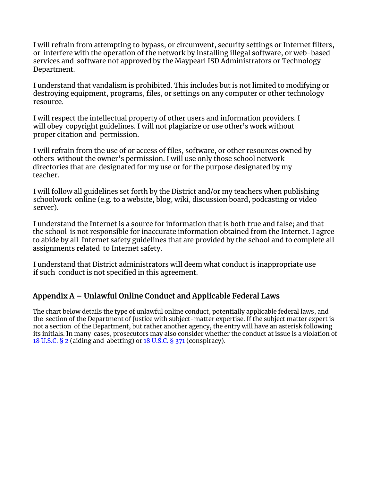I will refrain from attempting to bypass, or circumvent, security settings or Internet filters, or interfere with the operation of the network by installing illegal software, or web-based services and software not approved by the Maypearl ISD Administrators or Technology Department.

I understand that vandalism is prohibited. This includes but is not limited to modifying or destroying equipment, programs, files, or settings on any computer or other technology resource.

I will respect the intellectual property of other users and information providers. I will obey copyright guidelines. I will not plagiarize or use other's work without proper citation and permission.

I will refrain from the use of or access of files, software, or other resources owned by others without the owner's permission. I will use only those school network directories that are designated for my use or for the purpose designated by my teacher.

I will follow all guidelines set forth by the District and/or my teachers when publishing schoolwork online (e.g. to a website, blog, wiki, discussion board, podcasting or video server).

I understand the Internet is a source for information that is both true and false; and that the school is not responsible for inaccurate information obtained from the Internet. I agree to abide by all Internet safety guidelines that are provided by the school and to complete all assignments related to Internet safety.

I understand that District administrators will deem what conduct is inappropriate use if such conduct is not specified in this agreement.

## **Appendix A – Unlawful Online Conduct and Applicable Federal Laws**

The chart below details the type of unlawful online conduct, potentially applicable federal laws, and the section of the Department of Justice with subject-matter expertise. If the subject matter expert is not a section of the Department, but rather another agency, the entry will have an asterisk following its initials. In many cases, prosecutors may also consider whether the conduct at issue is a violation of 18 U.S.C. § 2 (aiding and abetting) or 18 U.S.C. § 371 (conspiracy).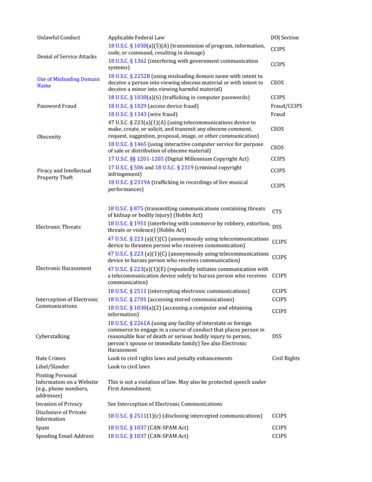| Unlawful Conduct                                                                                                                                                                                                                       | Applicable Federal Law                                                                                                                                                                                                                                                      | DOJ Section  |
|----------------------------------------------------------------------------------------------------------------------------------------------------------------------------------------------------------------------------------------|-----------------------------------------------------------------------------------------------------------------------------------------------------------------------------------------------------------------------------------------------------------------------------|--------------|
| <b>Denial of Service Attacks</b>                                                                                                                                                                                                       | 18 U.S.C. § 1030(a)(5)(A) (transmission of program, information,<br>code, or command, resulting in damage)                                                                                                                                                                  | CCIPS        |
|                                                                                                                                                                                                                                        | 18 U.S.C. § 1362 (interfering with government communication<br>systems)                                                                                                                                                                                                     | CCIPS        |
| 18 U.S.C. § 2252B (using misleading domain name with intent to<br><b>Use of Misleading Domain</b><br>deceive a person into viewing obscene material or with intent to<br><b>Name</b><br>deceive a minor into viewing harmful material) |                                                                                                                                                                                                                                                                             | CEOS         |
|                                                                                                                                                                                                                                        | 18 U.S.C. § 1030(a)(6) (trafficking in computer passwords)                                                                                                                                                                                                                  | CCIPS        |
| Password Fraud                                                                                                                                                                                                                         | 18 U.S.C. § 1029 (access device fraud)                                                                                                                                                                                                                                      | Fraud/CCIPS  |
|                                                                                                                                                                                                                                        | 18 U.S.C. § 1343 (wire fraud)                                                                                                                                                                                                                                               | Fraud        |
| Obscenity                                                                                                                                                                                                                              | 47 U.S.C. § 223(a)(1)(A) (using telecommunications device to<br>make, create, or solicit, and transmit any obscene comment,<br>request, suggestion, proposal, image, or other communication)                                                                                | CEOS         |
|                                                                                                                                                                                                                                        | 18 U.S.C. § 1465 (using interactive computer service for purpose<br>of sale or distribution of obscene material)                                                                                                                                                            | CEOS         |
|                                                                                                                                                                                                                                        | 17 U.S.C. §§ 1201-1205 (Digital Millennium Copyright Act)                                                                                                                                                                                                                   | CCIPS        |
| Piracy and Intellectual<br>Property Theft                                                                                                                                                                                              | 17 U.S.C. § 506 and 18 U.S.C. § 2319 (criminal copyright<br>infringement)                                                                                                                                                                                                   | CCIPS        |
|                                                                                                                                                                                                                                        | 18 U.S.C. § 2319A (trafficking in recordings of live musical<br>performances)                                                                                                                                                                                               | CCIPS        |
|                                                                                                                                                                                                                                        | 18 U.S.C. § 875 (transmitting communications containing threats<br>of kidnap or bodily injury) (Hobbs Act)                                                                                                                                                                  | CTS          |
| <b>Electronic Threats</b>                                                                                                                                                                                                              | 18 U.S.C. § 1951 (interfering with commerce by robbery, extortion,<br>threats or violence) (Hobbs Act)                                                                                                                                                                      | DSS          |
|                                                                                                                                                                                                                                        | 47 U.S.C. § 223 (a)(1)(C) (anonymously using telecommunications<br>device to threaten person who receives communication)                                                                                                                                                    | CCIPS        |
|                                                                                                                                                                                                                                        | 47 U.S.C. § 223 (a)(1)(C) (anonymously using telecommunications<br>device to harass person who receives communication)                                                                                                                                                      | CCIPS        |
| <b>Electronic Harassment</b>                                                                                                                                                                                                           | 47 U.S.C. § 223(a)(1)(E) (repeatedly initiates communication with<br>a telecommunication device solely to harass person who receives<br>communication)                                                                                                                      | CCIPS        |
|                                                                                                                                                                                                                                        | 18 U.S.C. § 2511 (intercepting electronic communications)                                                                                                                                                                                                                   | CCIPS        |
| Interception of Electronic                                                                                                                                                                                                             | 18 U.S.C. § 2701 (accessing stored communications)                                                                                                                                                                                                                          | CCIPS        |
| Communications                                                                                                                                                                                                                         | 18 U.S.C. § 1030(a)(2) (accessing a computer and obtaining<br>information)                                                                                                                                                                                                  | CCIPS        |
| Cyberstalking                                                                                                                                                                                                                          | 18 U.S.C. § 2261A (using any facility of interstate or foreign<br>commerce to engage in a course of conduct that places person in<br>reasonable fear of death or serious bodily injury to person,<br>person's spouse or immediate family) See also Electronic<br>Harassment | DSS          |
| Hate Crimes                                                                                                                                                                                                                            | Look to civil rights laws and penalty enhancements                                                                                                                                                                                                                          | Civil Rights |
| Libel/Slander                                                                                                                                                                                                                          | Look to civil laws                                                                                                                                                                                                                                                          |              |
| Posting Personal<br>Information on a Website<br>(e.g., phone numbers,<br>addresses)                                                                                                                                                    | This is not a violation of law. May also be protected speech under<br>First Amendment.                                                                                                                                                                                      |              |
| <b>Invasion of Privacy</b>                                                                                                                                                                                                             | See Interception of Electronic Communications                                                                                                                                                                                                                               |              |
| Disclosure of Private<br>Information                                                                                                                                                                                                   | 18 U.S.C. § 2511(1)(c) (disclosing intercepted communications)                                                                                                                                                                                                              | CCIPS        |
| Spam                                                                                                                                                                                                                                   | 18 U.S.C. § 1037 (CAN-SPAM Act)                                                                                                                                                                                                                                             | CCIPS        |
| Spoofing Email Address                                                                                                                                                                                                                 | 18 U.S.C. § 1037 (CAN-SPAM Act)                                                                                                                                                                                                                                             | CCIPS        |